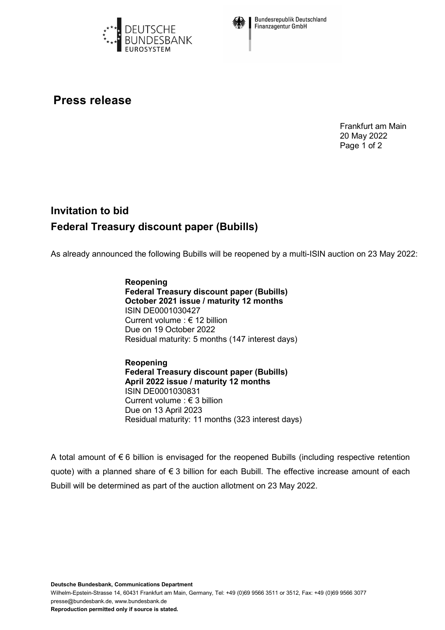



**Bundesrepublik Deutschland Finanzagentur GmbH** 

## **Press release**

Frankfurt am Main 20 May 2022 Page 1 of 2

## **Invitation to bid Federal Treasury discount paper (Bubills)**

As already announced the following Bubills will be reopened by a multi-ISIN auction on 23 May 2022:

**Reopening Federal Treasury discount paper (Bubills) October 2021 issue / maturity 12 months** ISIN DE0001030427 Current volume : € 12 billion Due on 19 October 2022 Residual maturity: 5 months (147 interest days)

**Reopening Federal Treasury discount paper (Bubills) April 2022 issue / maturity 12 months** ISIN DE0001030831 Current volume : € 3 billion Due on 13 April 2023 Residual maturity: 11 months (323 interest days)

A total amount of € 6 billion is envisaged for the reopened Bubills (including respective retention quote) with a planned share of € 3 billion for each Bubill. The effective increase amount of each Bubill will be determined as part of the auction allotment on 23 May 2022.

**Deutsche Bundesbank, Communications Department**

Wilhelm-Epstein-Strasse 14, 60431 Frankfurt am Main, Germany, Tel: +49 (0)69 9566 3511 or 3512, Fax: +49 (0)69 9566 3077 presse@bundesbank.de, www.bundesbank.de